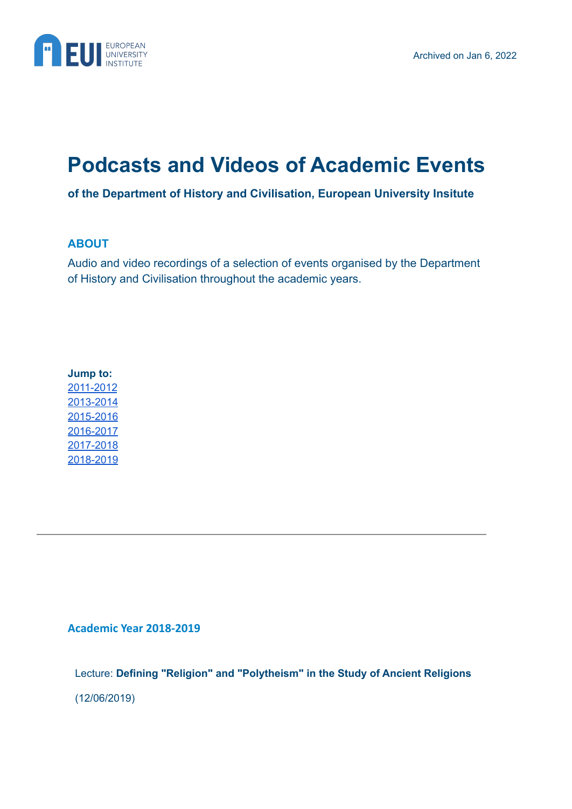

# **Podcasts and Videos of Academic Events**

**of the Department of History and Civilisation, European University Insitute**

# **ABOUT**

Audio and video recordings of a selection of events organised by the Department of History and Civilisation throughout the academic years.

# **Jump to:** [2011-2012](#page-10-0) [2013-2014](#page-10-1) 2015-2016 [2016-2017](#page-6-0) [2017-2018](#page-3-0) [2018-2019](#page-0-0)

<span id="page-0-0"></span>**Academic Year 2018-2019**

Lecture: **Defining "Religion" and "Polytheism" in the Study of Ancient Religions** (12/06/2019)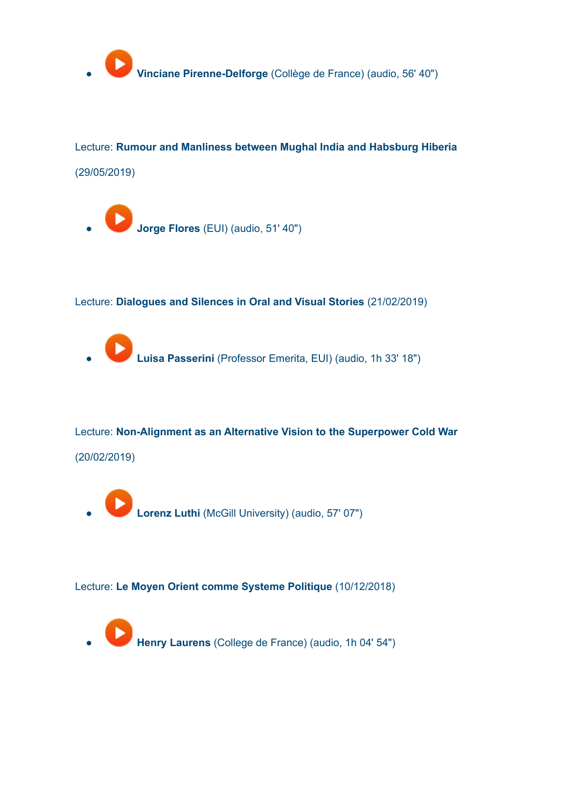

Lecture: **Rumour and Manliness between Mughal India and Habsburg Hiberia** (29/05/2019)

● **Jorge Flores** (EUI) (audio, 51' 40")

Lecture: **Dialogues and Silences in Oral and Visual Stories** (21/02/2019)

● **Luisa Passerini** (Professor Emerita, EUI) (audio, 1h 33' 18")

Lecture: **Non-Alignment as an Alternative Vision to the Superpower Cold War** (20/02/2019)

● **Lorenz Luthi** (McGill University) (audio, 57' 07")

Lecture: **Le Moyen Orient comme Systeme Politique** (10/12/2018)

● **Henry Laurens** (College de France) (audio, 1h 04' 54")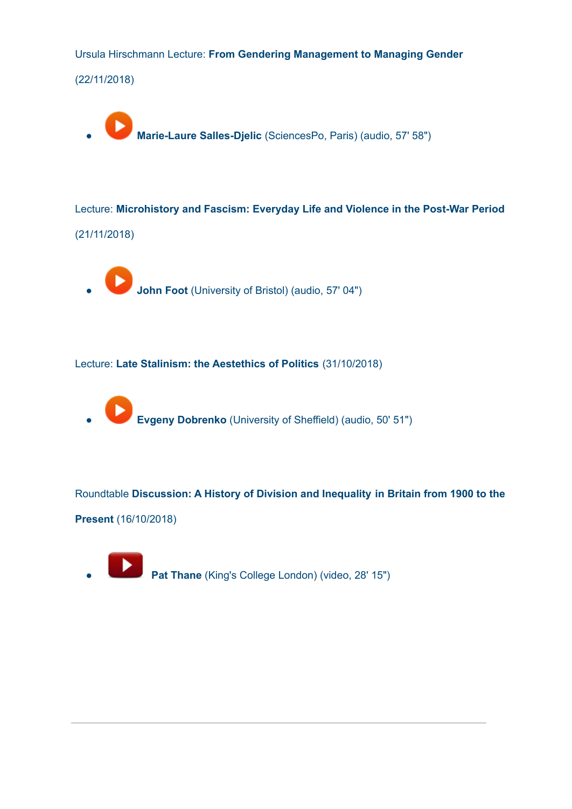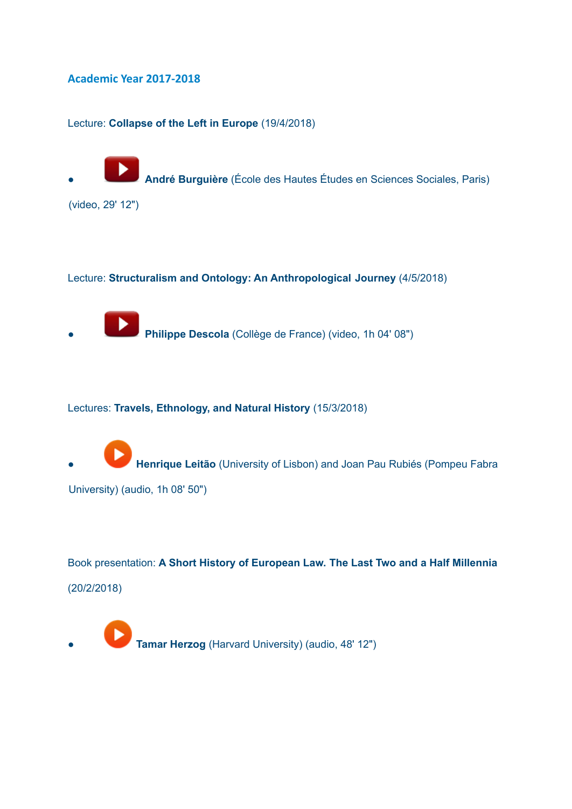### <span id="page-3-0"></span>**Academic Year 2017-2018**

Lecture: **Collapse of the Left in Europe** (19/4/2018)

● **André Burguière** (École des Hautes Études en Sciences Sociales, Paris)

(video, 29' 12")

#### Lecture: **Structuralism and Ontology: An Anthropological Journey** (4/5/2018)

● **Philippe Descola** (Collège de France) (video, 1h 04' 08")

Lectures: **Travels, Ethnology, and Natural History** (15/3/2018)

● **Henrique Leitão** (University of Lisbon) and Joan Pau Rubiés (Pompeu Fabra University) (audio, 1h 08' 50")

Book presentation: **A Short History of European Law. The Last Two and a Half Millennia** (20/2/2018)

**Tamar Herzog** (Harvard University) (audio, 48' 12")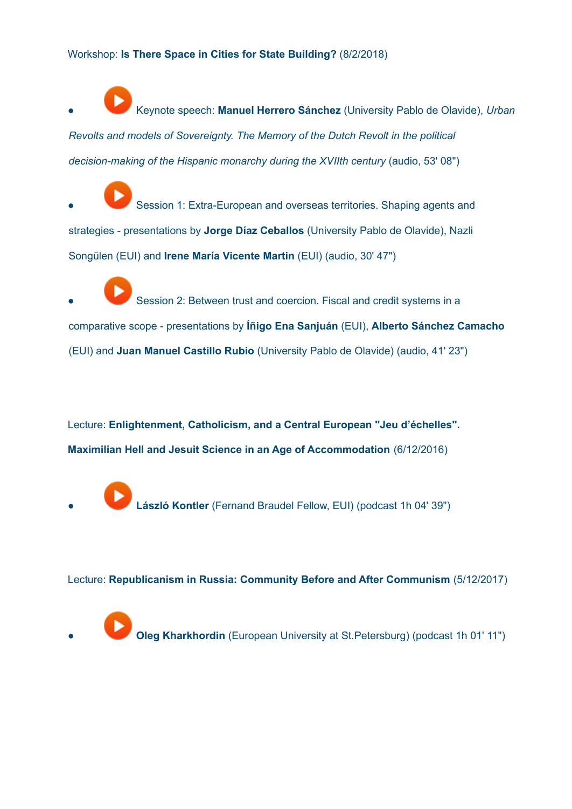Workshop: **Is There Space in Cities for State Building?** (8/2/2018)

● Keynote speech: **Manuel Herrero Sánchez** (University Pablo de Olavide), *Urban Revolts and models of Sovereignty. The Memory of the Dutch Revolt in the political decision-making of the Hispanic monarchy during the XVIIth century* (audio, 53' 08")

Session 1: Extra-European and overseas territories. Shaping agents and strategies - presentations by **Jorge Díaz Ceballos** (University Pablo de Olavide), Nazli Songülen (EUI) and **Irene María Vicente Martin** (EUI) (audio, 30' 47")

Session 2: Between trust and coercion. Fiscal and credit systems in a comparative scope - presentations by **Íñigo Ena Sanjuán** (EUI), **Alberto Sánchez Camacho** (EUI) and **Juan Manuel Castillo Rubio** (University Pablo de Olavide) (audio, 41' 23")

Lecture: **Enlightenment, Catholicism, and a Central European "Jeu d'échelles". Maximilian Hell and Jesuit Science in an Age of Accommodation** (6/12/2016)

● **László Kontler** (Fernand Braudel Fellow, EUI) (podcast 1h 04' 39")

Lecture: **Republicanism in Russia: Community Before and After Communism** (5/12/2017)

**Oleg Kharkhordin** (European University at St.Petersburg) (podcast 1h 01' 11")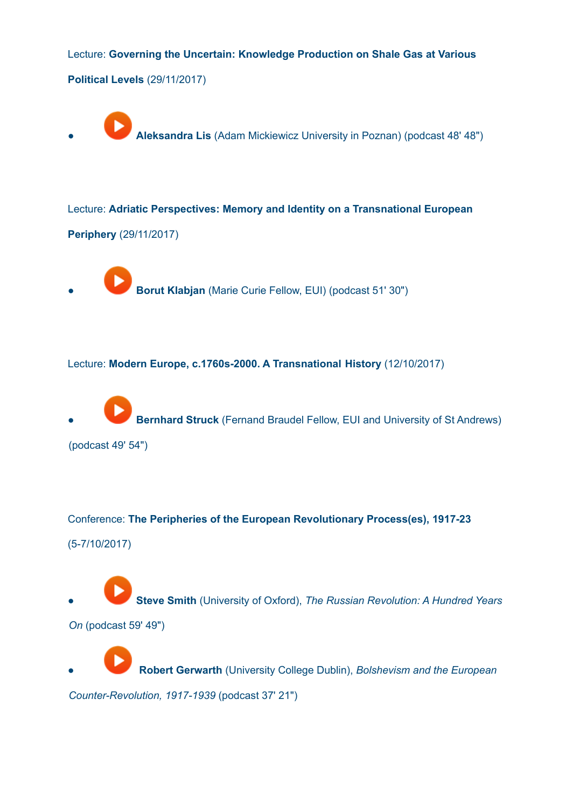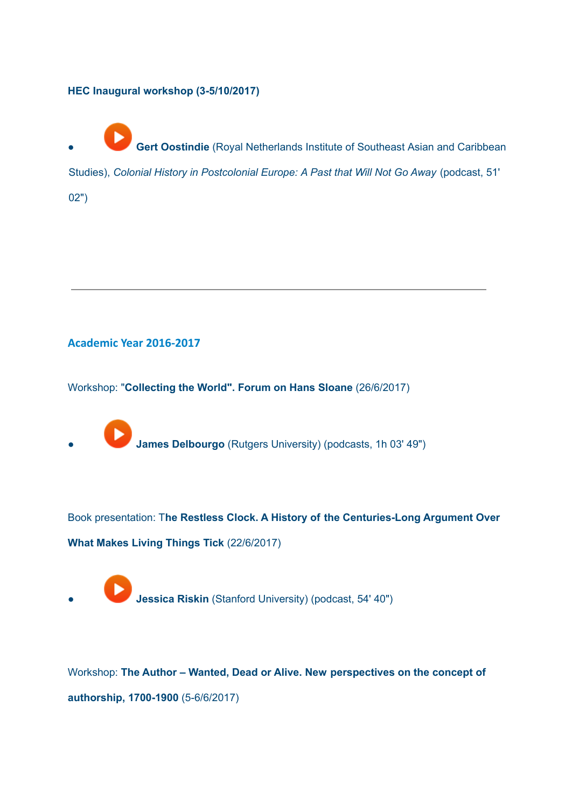## **HEC Inaugural workshop (3-5/10/2017)**

**Gert Oostindie** (Royal Netherlands Institute of Southeast Asian and Caribbean

Studies), *Colonial History in Postcolonial Europe: A Past that Will Not Go Away* (podcast, 51'

02")

## <span id="page-6-0"></span>**Academic Year 2016-2017**

Workshop: "**Collecting the World". Forum on Hans Sloane** (26/6/2017)

● **James Delbourgo** (Rutgers University) (podcasts, 1h 03' 49")

Book presentation: T**he Restless Clock. A History of the Centuries-Long Argument Over What Makes Living Things Tick** (22/6/2017)

**Jessica Riskin** (Stanford University) (podcast, 54' 40")

Workshop: **The Author – Wanted, Dead or Alive. New perspectives on the concept of authorship, 1700-1900** (5-6/6/2017)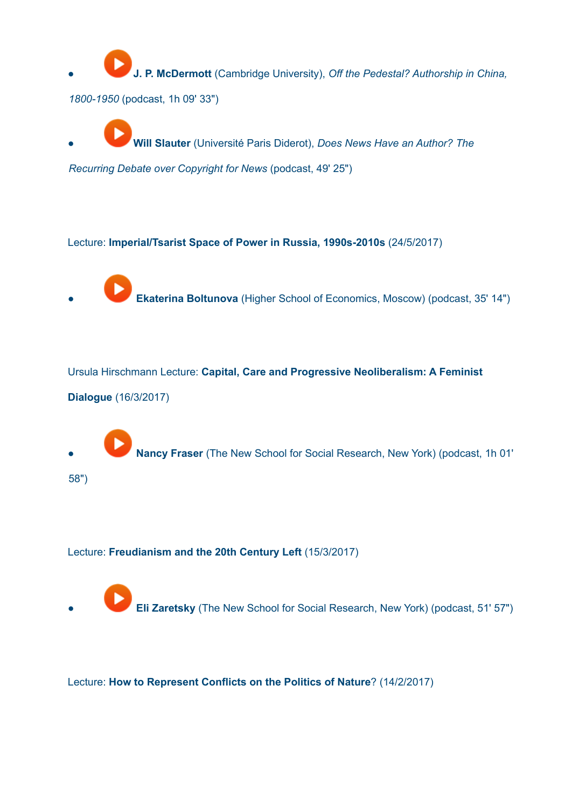● **[J](https://soundcloud.com/european-university/the-author-new-perspectives-on-the-concept-of-authorship-jp-mcdermott-speech). P. McDermott** (Cambridge University), *Off the Pedestal? Authorship in China, 1800-1950* (podcast, 1h 09' 33")

● **[W](https://soundcloud.com/european-university/the-author-new-perspectives-on-the-concept-of-authorship-will-slauter-speech)ill Slauter** (Université Paris Diderot), *Does News Have an Author? The*

*Recurring Debate over Copyright for News* (podcast, 49' 25")

Lecture: **Imperial/Tsarist Space of Power in Russia, 1990s-2010s** (24/5/2017)

**Ekaterina Boltunova** (Higher School of Economics, Moscow) (podcast, 35' 14")

Ursula Hirschmann Lecture: **Capital, Care and Progressive Neoliberalism: A Feminist Dialogue** (16/3/2017)

● **Nancy Fraser** (The New School for Social Research, New York) (podcast, 1h 01' 58")

## Lecture: **Freudianism and the 20th Century Left** (15/3/2017)

**Eli Zaretsky** (The New School for Social Research, New York) (podcast, 51' 57")

#### Lecture: **How to Represent Conflicts on the Politics of Nature**? (14/2/2017)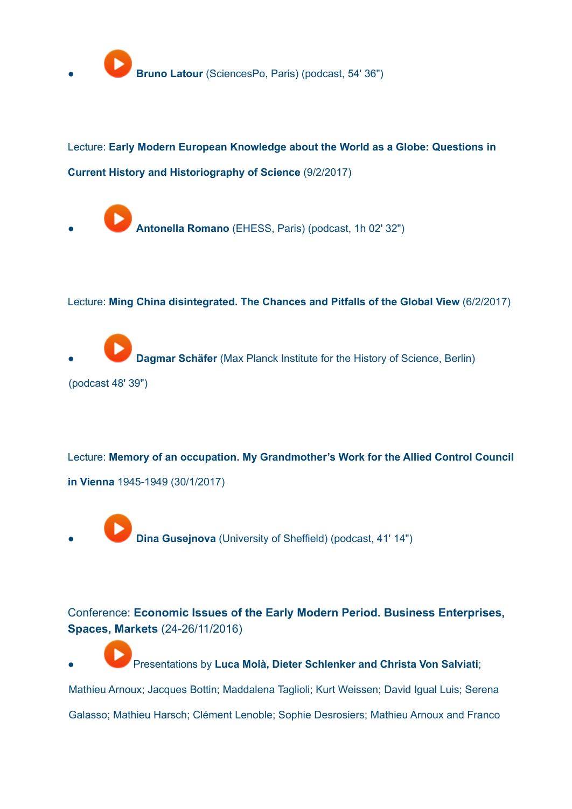

Lecture: **Early Modern European Knowledge about the World as a Globe: Questions in Current History and Historiography of Science** (9/2/2017)

● **Antonella Romano** (EHESS, Paris) (podcast, 1h 02' 32")

Lecture: **Ming China disintegrated. The Chances and Pitfalls of the Global View** (6/2/2017)

**Dagmar Schäfer** (Max Planck Institute for the History of Science, Berlin) (podcast 48' 39")

Lecture: **Memory of an occupation. My Grandmother's Work for the Allied Control Council in Vienna** 1945-1949 (30/1/2017)

**Dina Gusejnova** (University of Sheffield) (podcast, 41' 14")

Conference: **Economic Issues of the Early Modern Period. Business Enterprises, Spaces, Markets** (24-26/11/2016)

● [P](https://soundcloud.com/european-university/sets/economic-issues-of-the-early-modern-period)resentations by **Luca Molà, Dieter Schlenker and Christa Von Salviati**; Mathieu Arnoux; Jacques Bottin; Maddalena Taglioli; Kurt Weissen; David Igual Luis; Serena Galasso; Mathieu Harsch; Clément Lenoble; Sophie Desrosiers; Mathieu Arnoux and Franco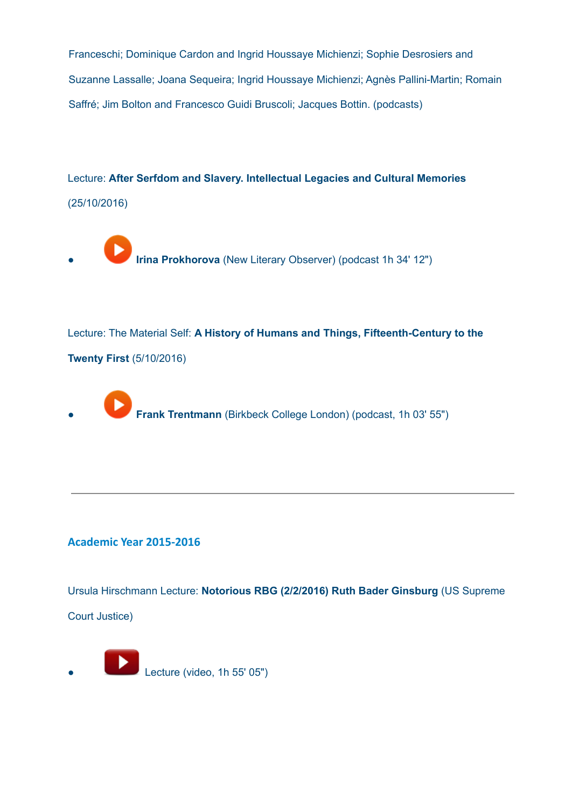Franceschi; Dominique Cardon and Ingrid Houssaye Michienzi; Sophie Desrosiers and Suzanne Lassalle; Joana Sequeira; Ingrid Houssaye Michienzi; Agnès Pallini-Martin; Romain Saffré; Jim Bolton and Francesco Guidi Bruscoli; Jacques Bottin. (podcasts)

Lecture: **After Serfdom and Slavery. Intellectual Legacies and Cultural Memories** (25/10/2016)

**Irina Prokhorova** (New Literary Observer) (podcast 1h 34' 12")

Lecture: The Material Self: **A History of Humans and Things, Fifteenth-Century to the Twenty First** (5/10/2016)

**Frank Trentmann** (Birkbeck College London) (podcast, 1h 03' 55")

# **Academic Year 2015-2016**

Ursula Hirschmann Lecture: **Notorious RBG (2/2/2016) Ruth Bader Ginsburg** (US Supreme Court Justice)

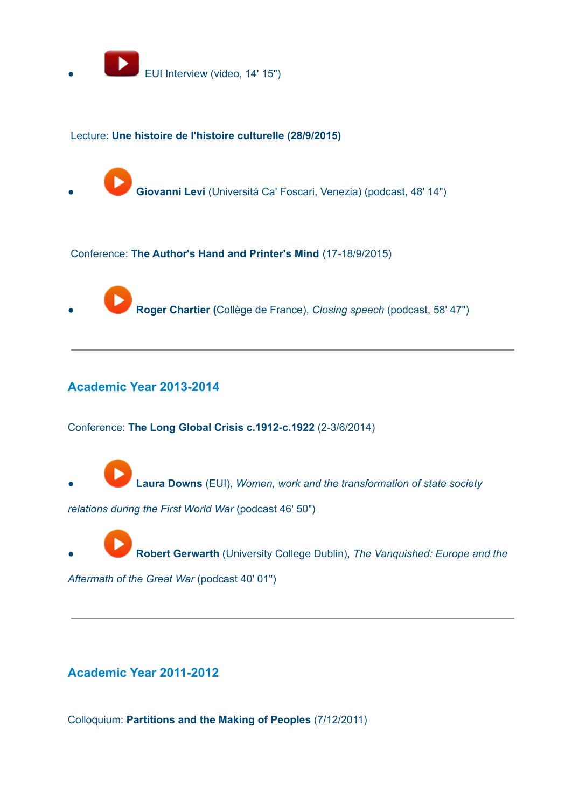

### Lecture: **Une histoire de l'histoire culturelle (28/9/2015)**

● **Giovanni Levi** (Universitá Ca' Foscari, Venezia) (podcast, 48' 14")

#### Conference: **The Author's Hand and Printer's Mind** (17-18/9/2015)

● **Roger Chartier (**Collège de France), *Closing speech* (podcast, 58' 47")

## <span id="page-10-1"></span>**Academic Year 2013-2014**

Conference: **The Long Global Crisis c.1912-c.1922** (2-3/6/2014)

● **Laura Downs** (EUI), *Women, work and the transformation of state society*

*relations during the First World War* (podcast 46' 50")

● **Robert Gerwarth** (University College Dublin), *The Vanquished: Europe and the*

*Aftermath of the Great War* (podcast 40' 01")

# <span id="page-10-0"></span>**Academic Year 2011-2012**

Colloquium: **Partitions and the Making of Peoples** (7/12/2011)